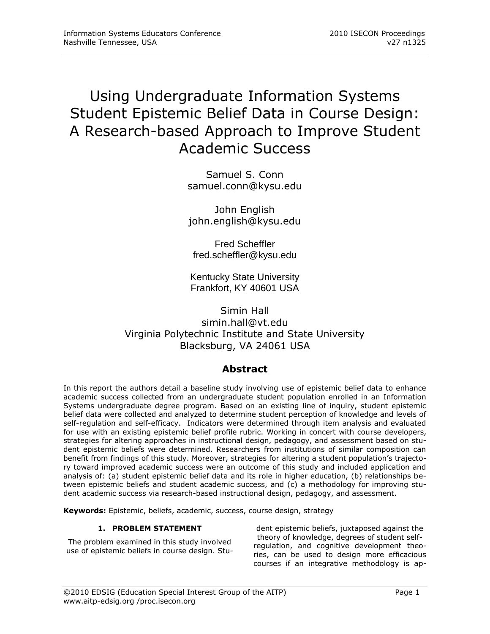# Using Undergraduate Information Systems Student Epistemic Belief Data in Course Design: A Research-based Approach to Improve Student Academic Success

Samuel S. Conn samuel.conn@kysu.edu

John English john.english@kysu.edu

Fred Scheffler fred.scheffler@kysu.edu

Kentucky State University Frankfort, KY 40601 USA

Simin Hall simin.hall@vt.edu Virginia Polytechnic Institute and State University Blacksburg, VA 24061 USA

# **Abstract**

In this report the authors detail a baseline study involving use of epistemic belief data to enhance academic success collected from an undergraduate student population enrolled in an Information Systems undergraduate degree program. Based on an existing line of inquiry, student epistemic belief data were collected and analyzed to determine student perception of knowledge and levels of self-regulation and self-efficacy. Indicators were determined through item analysis and evaluated for use with an existing epistemic belief profile rubric. Working in concert with course developers, strategies for altering approaches in instructional design, pedagogy, and assessment based on student epistemic beliefs were determined. Researchers from institutions of similar composition can benefit from findings of this study. Moreover, strategies for altering a student population"s trajectory toward improved academic success were an outcome of this study and included application and analysis of: (a) student epistemic belief data and its role in higher education, (b) relationships between epistemic beliefs and student academic success, and (c) a methodology for improving student academic success via research-based instructional design, pedagogy, and assessment.

**Keywords:** Epistemic, beliefs, academic, success, course design, strategy

# **1. PROBLEM STATEMENT**

The problem examined in this study involved use of epistemic beliefs in course design. Stu-

dent epistemic beliefs, juxtaposed against the theory of knowledge, degrees of student selfregulation, and cognitive development theories, can be used to design more efficacious courses if an integrative methodology is ap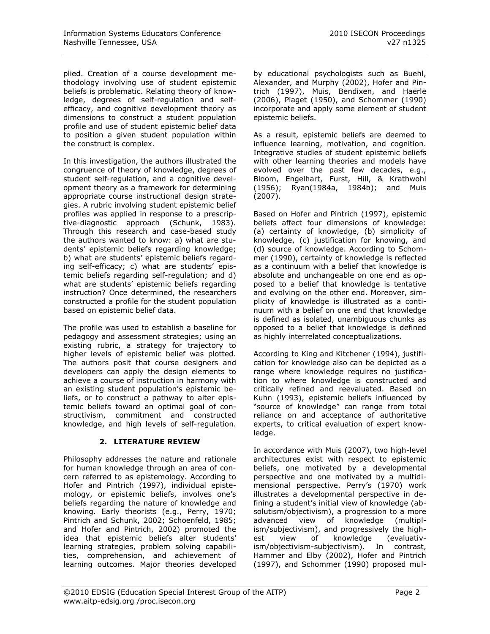plied. Creation of a course development methodology involving use of student epistemic beliefs is problematic. Relating theory of knowledge, degrees of self-regulation and selfefficacy, and cognitive development theory as dimensions to construct a student population profile and use of student epistemic belief data to position a given student population within the construct is complex.

In this investigation, the authors illustrated the congruence of theory of knowledge, degrees of student self-regulation, and a cognitive development theory as a framework for determining appropriate course instructional design strategies. A rubric involving student epistemic belief profiles was applied in response to a prescriptive-diagnostic approach (Schunk, 1983). Through this research and case-based study the authors wanted to know: a) what are students" epistemic beliefs regarding knowledge; b) what are students' epistemic beliefs regarding self-efficacy; c) what are students' epistemic beliefs regarding self-regulation; and d) what are students' epistemic beliefs regarding instruction? Once determined, the researchers constructed a profile for the student population based on epistemic belief data.

The profile was used to establish a baseline for pedagogy and assessment strategies; using an existing rubric, a strategy for trajectory to higher levels of epistemic belief was plotted. The authors posit that course designers and developers can apply the design elements to achieve a course of instruction in harmony with an existing student population's epistemic beliefs, or to construct a pathway to alter epistemic beliefs toward an optimal goal of constructivism, commitment and constructed knowledge, and high levels of self-regulation.

# **2. LITERATURE REVIEW**

Philosophy addresses the nature and rationale for human knowledge through an area of concern referred to as epistemology. According to Hofer and Pintrich (1997), individual epistemology, or epistemic beliefs, involves one"s beliefs regarding the nature of knowledge and knowing. Early theorists (e.g., Perry, 1970; Pintrich and Schunk, 2002; Schoenfeld, 1985; and Hofer and Pintrich, 2002) promoted the idea that epistemic beliefs alter students' learning strategies, problem solving capabilities, comprehension, and achievement of learning outcomes. Major theories developed by educational psychologists such as Buehl, Alexander, and Murphy (2002), Hofer and Pintrich (1997), Muis, Bendixen, and Haerle (2006), Piaget (1950), and Schommer (1990) incorporate and apply some element of student epistemic beliefs.

As a result, epistemic beliefs are deemed to influence learning, motivation, and cognition. Integrative studies of student epistemic beliefs with other learning theories and models have evolved over the past few decades, e.g., Bloom, Engelhart, Furst, Hill, & Krathwohl (1956); Ryan(1984a, 1984b); and Muis (2007).

Based on Hofer and Pintrich (1997), epistemic beliefs affect four dimensions of knowledge: (a) certainty of knowledge, (b) simplicity of knowledge, (c) justification for knowing, and (d) source of knowledge. According to Schommer (1990), certainty of knowledge is reflected as a continuum with a belief that knowledge is absolute and unchangeable on one end as opposed to a belief that knowledge is tentative and evolving on the other end. Moreover, simplicity of knowledge is illustrated as a continuum with a belief on one end that knowledge is defined as isolated, unambiguous chunks as opposed to a belief that knowledge is defined as highly interrelated conceptualizations.

According to King and Kitchener (1994), justification for knowledge also can be depicted as a range where knowledge requires no justification to where knowledge is constructed and critically refined and reevaluated. Based on Kuhn (1993), epistemic beliefs influenced by "source of knowledge" can range from total reliance on and acceptance of authoritative experts, to critical evaluation of expert knowledge.

In accordance with Muis (2007), two high-level architectures exist with respect to epistemic beliefs, one motivated by a developmental perspective and one motivated by a multidimensional perspective. Perry's (1970) work illustrates a developmental perspective in defining a student"s initial view of knowledge (absolutism/objectivism), a progression to a more advanced view of knowledge (multiplism/subjectivism), and progressively the highest view of knowledge (evaluativism/objectivism-subjectivism). In contrast, Hammer and Elby (2002), Hofer and Pintrich (1997), and Schommer (1990) proposed mul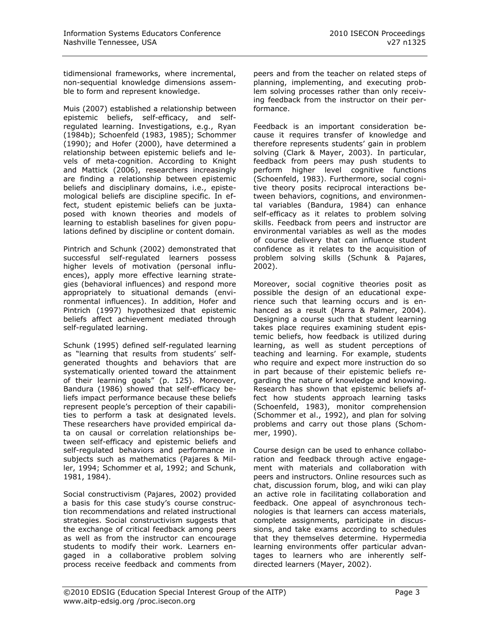tidimensional frameworks, where incremental, non-sequential knowledge dimensions assemble to form and represent knowledge.

Muis (2007) established a relationship between epistemic beliefs, self-efficacy, and selfregulated learning. Investigations, e.g., Ryan (1984b); Schoenfeld (1983, 1985); Schommer (1990); and Hofer (2000), have determined a relationship between epistemic beliefs and levels of meta-cognition. According to Knight and Mattick (2006), researchers increasingly are finding a relationship between epistemic beliefs and disciplinary domains, i.e., epistemological beliefs are discipline specific. In effect, student epistemic beliefs can be juxtaposed with known theories and models of learning to establish baselines for given populations defined by discipline or content domain.

Pintrich and Schunk (2002) demonstrated that successful self-regulated learners possess higher levels of motivation (personal influences), apply more effective learning strategies (behavioral influences) and respond more appropriately to situational demands (environmental influences). In addition, Hofer and Pintrich (1997) hypothesized that epistemic beliefs affect achievement mediated through self-regulated learning.

Schunk (1995) defined self-regulated learning as "learning that results from students' selfgenerated thoughts and behaviors that are systematically oriented toward the attainment of their learning goals" (p. 125). Moreover, Bandura (1986) showed that self-efficacy beliefs impact performance because these beliefs represent people"s perception of their capabilities to perform a task at designated levels. These researchers have provided empirical data on causal or correlation relationships between self-efficacy and epistemic beliefs and self-regulated behaviors and performance in subjects such as mathematics (Pajares & Miller, 1994; Schommer et al, 1992; and Schunk, 1981, 1984).

Social constructivism (Pajares, 2002) provided a basis for this case study"s course construction recommendations and related instructional strategies. Social constructivism suggests that the exchange of critical feedback among peers as well as from the instructor can encourage students to modify their work. Learners engaged in a collaborative problem solving process receive feedback and comments from

peers and from the teacher on related steps of planning, implementing, and executing problem solving processes rather than only receiving feedback from the instructor on their performance.

Feedback is an important consideration because it requires transfer of knowledge and therefore represents students" gain in problem solving (Clark & Mayer, 2003). In particular, feedback from peers may push students to perform higher level cognitive functions (Schoenfeld, 1983). Furthermore, social cognitive theory posits reciprocal interactions between behaviors, cognitions, and environmental variables (Bandura, 1984) can enhance self-efficacy as it relates to problem solving skills. Feedback from peers and instructor are environmental variables as well as the modes of course delivery that can influence student confidence as it relates to the acquisition of problem solving skills (Schunk & Pajares, 2002).

Moreover, social cognitive theories posit as possible the design of an educational experience such that learning occurs and is enhanced as a result (Marra & Palmer, 2004). Designing a course such that student learning takes place requires examining student epistemic beliefs, how feedback is utilized during learning, as well as student perceptions of teaching and learning. For example, students who require and expect more instruction do so in part because of their epistemic beliefs regarding the nature of knowledge and knowing. Research has shown that epistemic beliefs affect how students approach learning tasks (Schoenfeld, 1983), monitor comprehension (Schommer et al., 1992), and plan for solving problems and carry out those plans (Schommer, 1990).

Course design can be used to enhance collaboration and feedback through active engagement with materials and collaboration with peers and instructors. Online resources such as chat, discussion forum, blog, and wiki can play an active role in facilitating collaboration and feedback. One appeal of asynchronous technologies is that learners can access materials, complete assignments, participate in discussions, and take exams according to schedules that they themselves determine. Hypermedia learning environments offer particular advantages to learners who are inherently selfdirected learners (Mayer, 2002).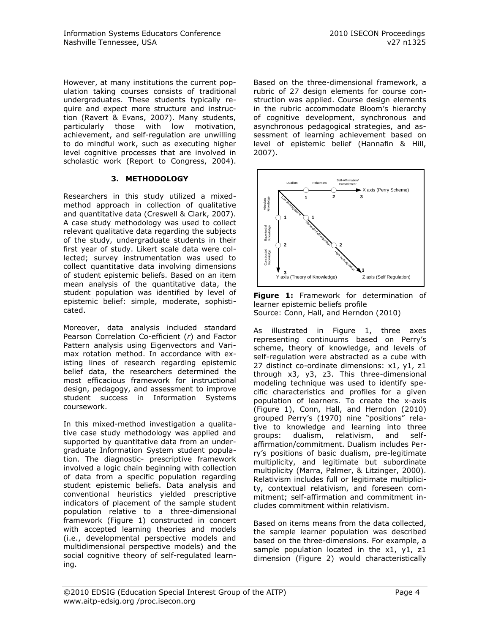However, at many institutions the current population taking courses consists of traditional undergraduates. These students typically require and expect more structure and instruction (Ravert & Evans, 2007). Many students, particularly those with low motivation, achievement, and self-regulation are unwilling to do mindful work, such as executing higher level cognitive processes that are involved in scholastic work (Report to Congress, 2004).

# **3. METHODOLOGY**

Researchers in this study utilized a mixedmethod approach in collection of qualitative and quantitative data (Creswell & Clark, 2007). A case study methodology was used to collect relevant qualitative data regarding the subjects of the study, undergraduate students in their first year of study. Likert scale data were collected; survey instrumentation was used to collect quantitative data involving dimensions of student epistemic beliefs. Based on an item mean analysis of the quantitative data, the student population was identified by level of epistemic belief: simple, moderate, sophisticated.

Moreover, data analysis included standard Pearson Correlation Co-efficient (*r*) and Factor Pattern analysis using Eigenvectors and Varimax rotation method. In accordance with existing lines of research regarding epistemic belief data, the researchers determined the most efficacious framework for instructional design, pedagogy, and assessment to improve student success in Information Systems coursework.

In this mixed-method investigation a qualitative case study methodology was applied and supported by quantitative data from an undergraduate Information System student population. The diagnostic- prescriptive framework involved a logic chain beginning with collection of data from a specific population regarding student epistemic beliefs. Data analysis and conventional heuristics yielded prescriptive indicators of placement of the sample student population relative to a three-dimensional framework (Figure 1) constructed in concert with accepted learning theories and models (i.e., developmental perspective models and multidimensional perspective models) and the social cognitive theory of self-regulated learning.

Based on the three-dimensional framework, a rubric of 27 design elements for course construction was applied. Course design elements in the rubric accommodate Bloom's hierarchy of cognitive development, synchronous and asynchronous pedagogical strategies, and assessment of learning achievement based on level of epistemic belief (Hannafin & Hill, 2007).



**Figure 1:** Framework for determination of learner epistemic beliefs profile Source: Conn, Hall, and Herndon (2010)

As illustrated in Figure 1, three axes representing continuums based on Perry"s scheme, theory of knowledge, and levels of self-regulation were abstracted as a cube with 27 distinct co-ordinate dimensions: x1, y1, z1 through x3, y3, z3. This three-dimensional modeling technique was used to identify specific characteristics and profiles for a given population of learners. To create the x-axis (Figure 1), Conn, Hall, and Herndon (2010) grouped Perry"s (1970) nine "positions" relative to knowledge and learning into three groups: dualism, relativism, and selfaffirmation/commitment. Dualism includes Perry"s positions of basic dualism, pre-legitimate multiplicity, and legitimate but subordinate multiplicity (Marra, Palmer, & Litzinger, 2000). Relativism includes full or legitimate multiplicity, contextual relativism, and foreseen commitment; self-affirmation and commitment includes commitment within relativism.

Based on items means from the data collected, the sample learner population was described based on the three-dimensions. For example, a sample population located in the x1, y1, z1 dimension (Figure 2) would characteristically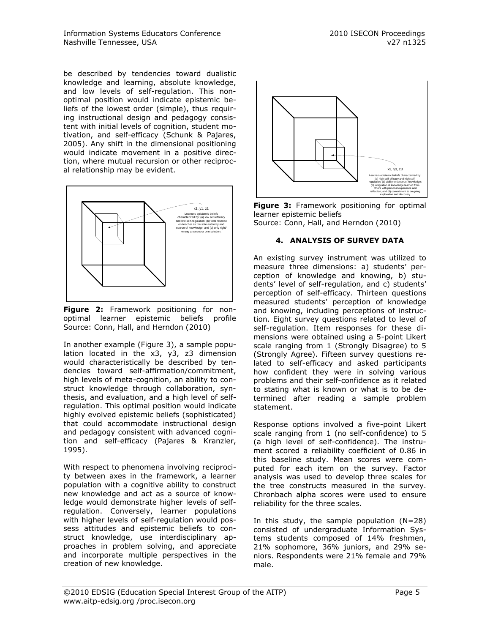be described by tendencies toward dualistic knowledge and learning, absolute knowledge, and low levels of self-regulation. This nonoptimal position would indicate epistemic beliefs of the lowest order (simple), thus requiring instructional design and pedagogy consistent with initial levels of cognition, student motivation, and self-efficacy (Schunk & Pajares, 2005). Any shift in the dimensional positioning would indicate movement in a positive direction, where mutual recursion or other reciprocal relationship may be evident.



**Figure 2:** Framework positioning for nonoptimal learner epistemic beliefs profile Source: Conn, Hall, and Herndon (2010)

In another example (Figure 3), a sample population located in the x3, y3, z3 dimension would characteristically be described by tendencies toward self-affirmation/commitment, high levels of meta-cognition, an ability to construct knowledge through collaboration, synthesis, and evaluation, and a high level of selfregulation. This optimal position would indicate highly evolved epistemic beliefs (sophisticated) that could accommodate instructional design and pedagogy consistent with advanced cognition and self-efficacy (Pajares & Kranzler, 1995).

With respect to phenomena involving reciprocity between axes in the framework, a learner population with a cognitive ability to construct new knowledge and act as a source of knowledge would demonstrate higher levels of selfregulation. Conversely, learner populations with higher levels of self-regulation would possess attitudes and epistemic beliefs to construct knowledge, use interdisciplinary approaches in problem solving, and appreciate and incorporate multiple perspectives in the creation of new knowledge.



**Figure 3:** Framework positioning for optimal learner epistemic beliefs Source: Conn, Hall, and Herndon (2010)

# **4. ANALYSIS OF SURVEY DATA**

An existing survey instrument was utilized to measure three dimensions: a) students' perception of knowledge and knowing, b) students' level of self-regulation, and c) students' perception of self-efficacy. Thirteen questions measured students" perception of knowledge and knowing, including perceptions of instruction. Eight survey questions related to level of self-regulation. Item responses for these dimensions were obtained using a 5-point Likert scale ranging from 1 (Strongly Disagree) to 5 (Strongly Agree). Fifteen survey questions related to self-efficacy and asked participants how confident they were in solving various problems and their self-confidence as it related to stating what is known or what is to be determined after reading a sample problem statement.

Response options involved a five-point Likert scale ranging from 1 (no self-confidence) to 5 (a high level of self-confidence). The instrument scored a reliability coefficient of 0.86 in this baseline study. Mean scores were computed for each item on the survey. Factor analysis was used to develop three scales for the tree constructs measured in the survey. Chronbach alpha scores were used to ensure reliability for the three scales.

In this study, the sample population  $(N=28)$ consisted of undergraduate Information Systems students composed of 14% freshmen, 21% sophomore, 36% juniors, and 29% seniors. Respondents were 21% female and 79% male.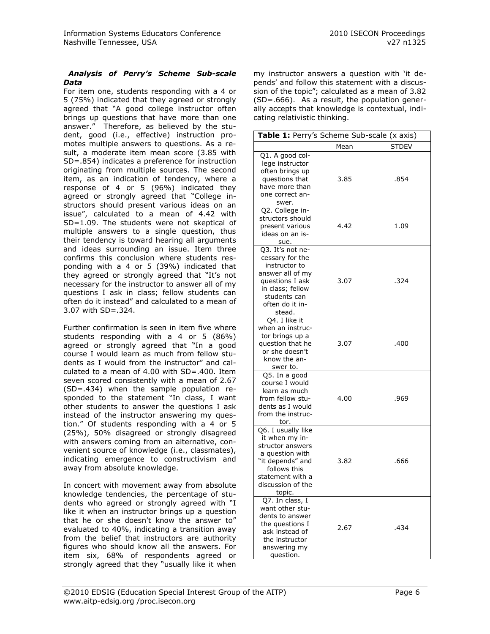#### *Analysis of Perry's Scheme Sub-scale Data*

For item one, students responding with a 4 or 5 (75%) indicated that they agreed or strongly agreed that "A good college instructor often brings up questions that have more than one answer." Therefore, as believed by the student, good (i.e., effective) instruction promotes multiple answers to questions. As a result, a moderate item mean score (3.85 with SD=.854) indicates a preference for instruction originating from multiple sources. The second item, as an indication of tendency, where a response of 4 or 5 (96%) indicated they agreed or strongly agreed that "College instructors should present various ideas on an issue", calculated to a mean of 4.42 with SD=1.09. The students were not skeptical of multiple answers to a single question, thus their tendency is toward hearing all arguments and ideas surrounding an issue. Item three confirms this conclusion where students responding with a 4 or 5 (39%) indicated that they agreed or strongly agreed that "It's not necessary for the instructor to answer all of my questions I ask in class; fellow students can often do it instead" and calculated to a mean of 3.07 with SD=.324.

Further confirmation is seen in item five where students responding with a 4 or 5 (86%) agreed or strongly agreed that "In a good course I would learn as much from fellow students as I would from the instructor" and calculated to a mean of 4.00 with SD=.400. Item seven scored consistently with a mean of 2.67 (SD=.434) when the sample population responded to the statement "In class, I want other students to answer the questions I ask instead of the instructor answering my question." Of students responding with a 4 or 5 (25%), 50% disagreed or strongly disagreed with answers coming from an alternative, convenient source of knowledge (i.e., classmates), indicating emergence to constructivism and away from absolute knowledge.

In concert with movement away from absolute knowledge tendencies, the percentage of students who agreed or strongly agreed with "I like it when an instructor brings up a question that he or she doesn"t know the answer to" evaluated to 40%, indicating a transition away from the belief that instructors are authority figures who should know all the answers. For item six, 68% of respondents agreed or strongly agreed that they "usually like it when my instructor answers a question with "it depends" and follow this statement with a discussion of the topic"; calculated as a mean of 3.82 (SD=.666). As a result, the population generally accepts that knowledge is contextual, indicating relativistic thinking.

| Table 1: Perry's Scheme Sub-scale (x axis)                                                                                                                         |      |              |
|--------------------------------------------------------------------------------------------------------------------------------------------------------------------|------|--------------|
|                                                                                                                                                                    | Mean | <b>STDEV</b> |
| Q1. A good col-<br>lege instructor<br>often brings up<br>questions that<br>have more than<br>one correct an-<br>swer.                                              | 3.85 | .854         |
| Q2. College in-<br>structors should<br>present various<br>ideas on an is-<br>sue.                                                                                  | 4.42 | 1.09         |
| Q3. It's not ne-<br>cessary for the<br>instructor to<br>answer all of my<br>questions I ask<br>in class; fellow<br>students can<br>often do it in-<br>stead.       | 3.07 | .324         |
| Q4. I like it<br>when an instruc-<br>tor brings up a<br>question that he<br>or she doesn't<br>know the an-<br>swer to.                                             | 3.07 | .400         |
| Q5. In a good<br>course I would<br>learn as much<br>from fellow stu-<br>dents as I would<br>from the instruc-<br>tor.                                              | 4.00 | .969         |
| Q6. I usually like<br>it when my in-<br>structor answers<br>a question with<br>"it depends" and<br>follows this<br>statement with a<br>discussion of the<br>topic. | 3.82 | .666         |
| Q7. In class, I<br>want other stu-<br>dents to answer<br>the questions I<br>ask instead of<br>the instructor<br>answering my<br>question.                          | 2.67 | .434         |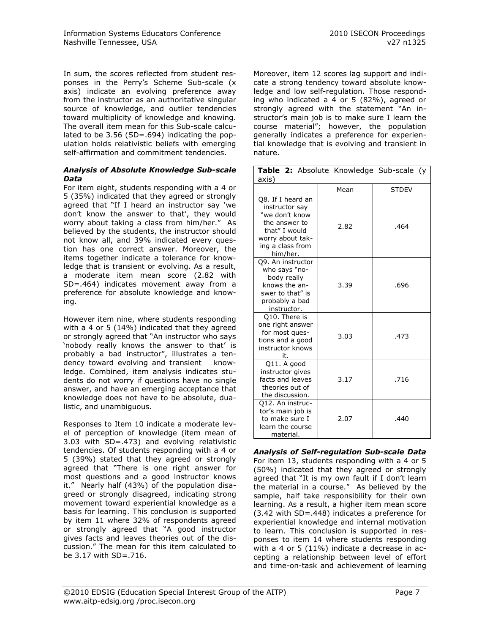In sum, the scores reflected from student responses in the Perry"s Scheme Sub-scale (x axis) indicate an evolving preference away from the instructor as an authoritative singular source of knowledge, and outlier tendencies toward multiplicity of knowledge and knowing. The overall item mean for this Sub-scale calculated to be 3.56 (SD=.694) indicating the population holds relativistic beliefs with emerging self-affirmation and commitment tendencies.

#### *Analysis of Absolute Knowledge Sub-scale Data*

For item eight, students responding with a 4 or 5 (35%) indicated that they agreed or strongly agreed that "If I heard an instructor say "we don't know the answer to that', they would worry about taking a class from him/her." As believed by the students, the instructor should not know all, and 39% indicated every question has one correct answer. Moreover, the items together indicate a tolerance for knowledge that is transient or evolving. As a result, a moderate item mean score (2.82 with SD=.464) indicates movement away from a preference for absolute knowledge and knowing.

However item nine, where students responding with a 4 or 5 (14%) indicated that they agreed or strongly agreed that "An instructor who says 'nobody really knows the answer to that' is probably a bad instructor", illustrates a tendency toward evolving and transient knowledge. Combined, item analysis indicates students do not worry if questions have no single answer, and have an emerging acceptance that knowledge does not have to be absolute, dualistic, and unambiguous.

Responses to Item 10 indicate a moderate level of perception of knowledge (item mean of 3.03 with SD=.473) and evolving relativistic tendencies. Of students responding with a 4 or 5 (39%) stated that they agreed or strongly agreed that "There is one right answer for most questions and a good instructor knows it." Nearly half (43%) of the population disagreed or strongly disagreed, indicating strong movement toward experiential knowledge as a basis for learning. This conclusion is supported by item 11 where 32% of respondents agreed or strongly agreed that "A good instructor gives facts and leaves theories out of the discussion." The mean for this item calculated to be 3.17 with SD=.716.

Moreover, item 12 scores lag support and indicate a strong tendency toward absolute knowledge and low self-regulation. Those responding who indicated a 4 or 5 (82%), agreed or strongly agreed with the statement "An instructor's main job is to make sure I learn the course material"; however, the population generally indicates a preference for experiential knowledge that is evolving and transient in nature.

| Table 2: Absolute Knowledge Sub-scale (y<br>axis)                                                                                           |      |              |
|---------------------------------------------------------------------------------------------------------------------------------------------|------|--------------|
|                                                                                                                                             | Mean | <b>STDEV</b> |
| Q8. If I heard an<br>instructor say<br>"we don't know<br>the answer to<br>that" I would<br>worry about tak-<br>ing a class from<br>him/her. | 2.82 | .464         |
| Q9. An instructor<br>who says "no-<br>body really<br>knows the an-<br>swer to that" is<br>probably a bad<br>instructor.                     | 3.39 | .696         |
| Q10. There is<br>one right answer<br>for most ques-<br>tions and a good<br>instructor knows<br>it.                                          | 3.03 | .473         |
| Q11. A good<br>instructor gives<br>facts and leaves<br>theories out of<br>the discussion.                                                   | 3.17 | .716         |
| Q12. An instruc-<br>tor's main job is<br>to make sure I<br>learn the course<br>material.                                                    | 2.07 | .440         |

*Analysis of Self-regulation Sub-scale Data* For item 13, students responding with a 4 or 5 (50%) indicated that they agreed or strongly agreed that "It is my own fault if I don't learn the material in a course." As believed by the sample, half take responsibility for their own learning. As a result, a higher item mean score (3.42 with SD=.448) indicates a preference for experiential knowledge and internal motivation to learn. This conclusion is supported in responses to item 14 where students responding with a 4 or 5 (11%) indicate a decrease in accepting a relationship between level of effort and time-on-task and achievement of learning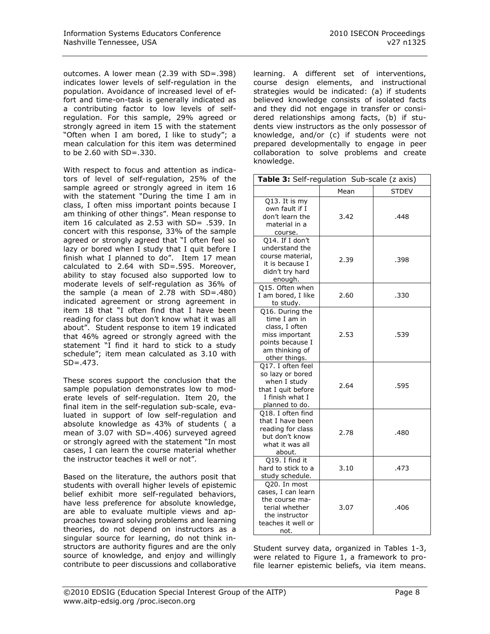outcomes. A lower mean (2.39 with SD=.398) indicates lower levels of self-regulation in the population. Avoidance of increased level of effort and time-on-task is generally indicated as a contributing factor to low levels of selfregulation. For this sample, 29% agreed or strongly agreed in item 15 with the statement "Often when I am bored, I like to study"; a mean calculation for this item was determined to be 2.60 with SD=.330.

With respect to focus and attention as indicators of level of self-regulation, 25% of the sample agreed or strongly agreed in item 16 with the statement "During the time I am in class, I often miss important points because I am thinking of other things". Mean response to item 16 calculated as 2.53 with SD= .539. In concert with this response, 33% of the sample agreed or strongly agreed that "I often feel so lazy or bored when I study that I quit before I finish what I planned to do". Item 17 mean calculated to 2.64 with SD=.595. Moreover, ability to stay focused also supported low to moderate levels of self-regulation as 36% of the sample (a mean of 2.78 with SD=.480) indicated agreement or strong agreement in item 18 that "I often find that I have been reading for class but don"t know what it was all about". Student response to item 19 indicated that 46% agreed or strongly agreed with the statement "I find it hard to stick to a study schedule"; item mean calculated as 3.10 with  $SD = .473$ .

These scores support the conclusion that the sample population demonstrates low to moderate levels of self-regulation. Item 20, the final item in the self-regulation sub-scale, evaluated in support of low self-regulation and absolute knowledge as 43% of students ( a mean of 3.07 with SD=.406) surveyed agreed or strongly agreed with the statement "In most cases, I can learn the course material whether the instructor teaches it well or not".

Based on the literature, the authors posit that students with overall higher levels of epistemic belief exhibit more self-regulated behaviors, have less preference for absolute knowledge, are able to evaluate multiple views and approaches toward solving problems and learning theories, do not depend on instructors as a singular source for learning, do not think instructors are authority figures and are the only source of knowledge, and enjoy and willingly contribute to peer discussions and collaborative learning. A different set of interventions, course design elements, and instructional strategies would be indicated: (a) if students believed knowledge consists of isolated facts and they did not engage in transfer or considered relationships among facts, (b) if students view instructors as the only possessor of knowledge, and/or (c) if students were not prepared developmentally to engage in peer collaboration to solve problems and create knowledge.

| Table 3: Self-regulation Sub-scale (z axis)                                                                                |      |              |
|----------------------------------------------------------------------------------------------------------------------------|------|--------------|
|                                                                                                                            | Mean | <b>STDEV</b> |
| Q13. It is my<br>own fault if I<br>don't learn the<br>material in a<br>course.                                             | 3.42 | .448         |
| Q14. If I don't<br>understand the<br>course material,<br>it is because I<br>didn't try hard<br>enough.                     | 2.39 | .398         |
| Q15. Often when<br>I am bored, I like<br>to study.                                                                         | 2.60 | .330         |
| Q16. During the<br>time I am in<br>class, I often<br>miss important<br>points because I<br>am thinking of<br>other things. | 2.53 | .539         |
| Q17. I often feel<br>so lazy or bored<br>when I study<br>that I quit before<br>I finish what I<br>planned to do.           | 2.64 | .595         |
| Q18. I often find<br>that I have been<br>reading for class<br>but don't know<br>what it was all<br>about.                  | 2.78 | .480         |
| Q19. I find it<br>hard to stick to a<br>study schedule.                                                                    | 3.10 | .473         |
| Q20. In most<br>cases, I can learn<br>the course ma-<br>terial whether<br>the instructor<br>teaches it well or<br>not.     | 3.07 | .406         |

Student survey data, organized in Tables 1-3, were related to Figure 1, a framework to profile learner epistemic beliefs, via item means.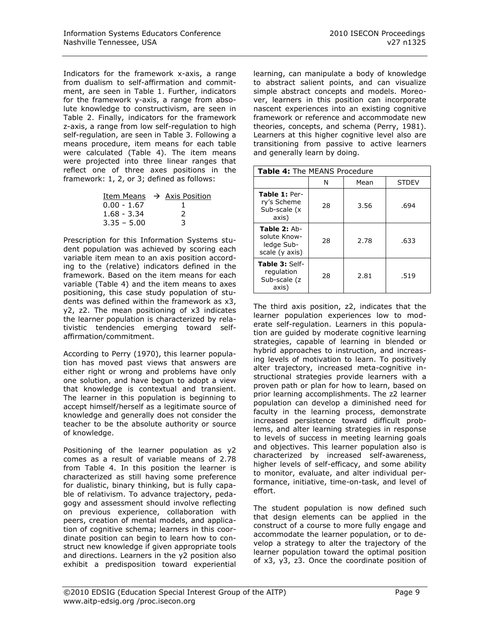Indicators for the framework x-axis, a range from dualism to self-affirmation and commitment, are seen in Table 1. Further, indicators for the framework y-axis, a range from absolute knowledge to constructivism, are seen in Table 2. Finally, indicators for the framework z-axis, a range from low self-regulation to high self-regulation, are seen in Table 3. Following a means procedure, item means for each table were calculated (Table 4). The item means were projected into three linear ranges that reflect one of three axes positions in the framework: 1, 2, or 3; defined as follows:

|               | Item Means $\rightarrow$ Axis Position |
|---------------|----------------------------------------|
| $0.00 - 1.67$ |                                        |
| $1.68 - 3.34$ | 2                                      |
| $3.35 - 5.00$ | 3                                      |

Prescription for this Information Systems student population was achieved by scoring each variable item mean to an axis position according to the (relative) indicators defined in the framework. Based on the item means for each variable (Table 4) and the item means to axes positioning, this case study population of students was defined within the framework as x3, y2, z2. The mean positioning of x3 indicates the learner population is characterized by relativistic tendencies emerging toward selfaffirmation/commitment.

According to Perry (1970), this learner population has moved past views that answers are either right or wrong and problems have only one solution, and have begun to adopt a view that knowledge is contextual and transient. The learner in this population is beginning to accept himself/herself as a legitimate source of knowledge and generally does not consider the teacher to be the absolute authority or source of knowledge.

Positioning of the learner population as y2 comes as a result of variable means of 2.78 from Table 4. In this position the learner is characterized as still having some preference for dualistic, binary thinking, but is fully capable of relativism. To advance trajectory, pedagogy and assessment should involve reflecting on previous experience, collaboration with peers, creation of mental models, and application of cognitive schema; learners in this coordinate position can begin to learn how to construct new knowledge if given appropriate tools and directions. Learners in the y2 position also exhibit a predisposition toward experiential learning, can manipulate a body of knowledge to abstract salient points, and can visualize simple abstract concepts and models. Moreover, learners in this position can incorporate nascent experiences into an existing cognitive framework or reference and accommodate new theories, concepts, and schema (Perry, 1981). Learners at this higher cognitive level also are transitioning from passive to active learners and generally learn by doing.

| Table 4: The MEANS Procedure                                 |    |      |              |
|--------------------------------------------------------------|----|------|--------------|
|                                                              | N  | Mean | <b>STDEV</b> |
| Table 1: Per-<br>ry's Scheme<br>Sub-scale (x<br>axis)        | 28 | 3.56 | .694         |
| Table 2: Ab-<br>solute Know-<br>ledge Sub-<br>scale (y axis) | 28 | 2.78 | .633         |
| Table 3: Self-<br>regulation<br>Sub-scale (z<br>axis)        | 28 | 2.81 | .519         |

The third axis position, z2, indicates that the learner population experiences low to moderate self-regulation. Learners in this population are guided by moderate cognitive learning strategies, capable of learning in blended or hybrid approaches to instruction, and increasing levels of motivation to learn. To positively alter trajectory, increased meta-cognitive instructional strategies provide learners with a proven path or plan for how to learn, based on prior learning accomplishments. The z2 learner population can develop a diminished need for faculty in the learning process, demonstrate increased persistence toward difficult problems, and alter learning strategies in response to levels of success in meeting learning goals and objectives. This learner population also is characterized by increased self-awareness, higher levels of self-efficacy, and some ability to monitor, evaluate, and alter individual performance, initiative, time-on-task, and level of effort.

The student population is now defined such that design elements can be applied in the construct of a course to more fully engage and accommodate the learner population, or to develop a strategy to alter the trajectory of the learner population toward the optimal position of x3, y3, z3. Once the coordinate position of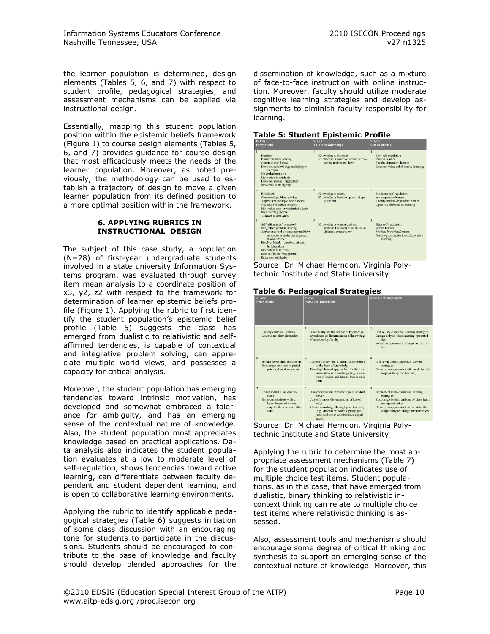the learner population is determined, design elements (Tables 5, 6, and 7) with respect to student profile, pedagogical strategies, and assessment mechanisms can be applied via instructional design.

Essentially, mapping this student population position within the epistemic beliefs framework (Figure 1) to course design elements (Tables 5, 6, and 7) provides guidance for course design that most efficaciously meets the needs of the learner population. Moreover, as noted previously, the methodology can be used to establish a trajectory of design to move a given learner population from its defined position to a more optimal position within the framework.

#### **6. APPLYING RUBRICS IN INSTRUCTIONAL DESIGN**

The subject of this case study, a population (N=28) of first-year undergraduate students involved in a state university Information Systems program, was evaluated through survey item mean analysis to a coordinate position of x3, y2, z2 with respect to the framework for determination of learner epistemic beliefs profile (Figure 1). Applying the rubric to first identify the student population"s epistemic belief profile (Table 5) suggests the class has emerged from dualistic to relativistic and selfaffirmed tendencies, is capable of contextual and integrative problem solving, can appreciate multiple world views, and possesses a capacity for critical analysis.

Moreover, the student population has emerging tendencies toward intrinsic motivation, has developed and somewhat embraced a tolerance for ambiguity, and has an emerging sense of the contextual nature of knowledge. Also, the student population most appreciates knowledge based on practical applications. Data analysis also indicates the student population evaluates at a low to moderate level of self-regulation, shows tendencies toward active learning, can differentiate between faculty dependent and student dependent learning, and is open to collaborative learning environments.

Applying the rubric to identify applicable pedagogical strategies (Table 6) suggests initiation of some class discussion with an encouraging tone for students to participate in the discussions. Students should be encouraged to contribute to the base of knowledge and faculty should develop blended approaches for the

dissemination of knowledge, such as a mixture of face-to-face instruction with online instruction. Moreover, faculty should utilize moderate cognitive learning strategies and develop assignments to diminish faculty responsibility for learning.

| Table 5: Student Epistemic Profile |  |
|------------------------------------|--|
|------------------------------------|--|

|                | $A = A B B$<br><b>Perry Model</b>                                                                                                                                                                                                                                                                  | $1 - 1215$<br><b>Theory of Knowledge</b>                                                          | <b><i>CONSTRUSS</i></b><br><b>Self Regulation</b>                                                                                                   |
|----------------|----------------------------------------------------------------------------------------------------------------------------------------------------------------------------------------------------------------------------------------------------------------------------------------------------|---------------------------------------------------------------------------------------------------|-----------------------------------------------------------------------------------------------------------------------------------------------------|
| ı              | <b>Dualistic</b><br>Binary problem solving<br>Concrete world view<br>Does not acknowledge multiple per-<br>spectives<br>No critical analysis<br>Motivation is extrinsic<br>Does not see the "big picture"<br>Intolerant to ambiguity                                                               | Knowledge is absolute<br>Knowledge is based on scientific rea-<br>soning and natural laws         | Low self-regulation<br>Passive learner<br>Faculty dependent learner<br>Does not value collaborative learning                                        |
| $\overline{c}$ | Relativistic<br>Contextual problem solving<br>Appreciates multiple world views<br>Capacity for critical analysis<br>Motivation may be extrinsic/intrinsic<br>Sees the "big picture"<br>Tolerant to ambiguity                                                                                       | Knowledge is relative<br>Knowledge is based on practical ap-<br>plications                        | Moderate self-regulation<br>Active/passive learner<br>Faculty/student dependent learner<br>Open to collaboration learning                           |
| 3              | Self-affirmative/committed<br>Integrative problem solving<br>Appreciates and incorporates multiple<br>perspectives in the development<br>of world view<br>Employs highly cognitive, critical<br>thinking skills<br>Motivation is intrinsic<br>Sees self in the "big picture"<br>Embraces ambiguity | 3<br>Knowledge is constructed and<br>grounded in integrative, interdis-<br>ciplinary perspectives | $\overline{\mathbf{3}}$<br>High self-regulation<br>Active learner<br>Student dependent learner<br>Seeks opportunities for collaborative<br>learning |
|                | .  .                                                                                                                                                                                                                                                                                               | .<br>.                                                                                            | . .                                                                                                                                                 |

Source: Dr. Michael Herndon, Virginia Polytechnic Institute and State University

|  |  | Table 6: Pedagogical Strategies |  |
|--|--|---------------------------------|--|
|--|--|---------------------------------|--|

| X-Axis<br><b>Perry Model</b>                                                                                                           | Y-Axis<br><b>Theory of Knowledge</b>                                                                                                                                                                                                          | <b>Z-Axis Self Regulation</b>                                                                                                                                                                              |
|----------------------------------------------------------------------------------------------------------------------------------------|-----------------------------------------------------------------------------------------------------------------------------------------------------------------------------------------------------------------------------------------------|------------------------------------------------------------------------------------------------------------------------------------------------------------------------------------------------------------|
| 1<br>Faculty centered lectures<br>Little to no class discussion                                                                        | The faculty are the source of knowledge<br>Synchronous dissemination of knowledge<br>Controlled by faculty                                                                                                                                    | Utilize low cognitive learning strategies<br>Design only in-class learning opportuni-<br>ties<br>Avoid an openness to change in instruc-<br>tion                                                           |
| $\overline{c}$<br>Initiate some class discussion<br>Encourage students to partici-<br>pate in class discussions                        | $\overline{2}$<br>Allows faculty and students to contribute<br>to the base of knowledge<br>Develop blended approaches for the dis-<br>semination of knowledge (e.g. a mix-<br>ture of online and face to face instruc-<br>tion)               | Utilize moderate cognitive learning<br>strategies<br>Develop assignments to diminish faculty<br>responsibility for learning                                                                                |
| 3<br>Foster robust class discus-<br>sions<br>Empower students with a<br>large degree of owner-<br>ship for the success of the<br>class | 3<br>The construction of knowledge is student<br>driven<br>Asynchronous dissemination of knowl-<br>edge<br>Create knowledge through peer learning<br>(e.g., discussion boards, group pro-<br>jects, and other collaborative experi-<br>ences) | 3<br>Implement meta-cognitive learning<br>strategies<br>Encourage both in and out-of-class learn-<br>ing opportunities<br>Develop assignments that facilitate the<br>adaptability to change in instruction |

Source: Dr. Michael Herndon, Virginia Polytechnic Institute and State University

Applying the rubric to determine the most appropriate assessment mechanisms (Table 7) for the student population indicates use of multiple choice test items. Student populations, as in this case, that have emerged from dualistic, binary thinking to relativistic incontext thinking can relate to multiple choice test items where relativistic thinking is assessed.

Also, assessment tools and mechanisms should encourage some degree of critical thinking and synthesis to support an emerging sense of the contextual nature of knowledge. Moreover, this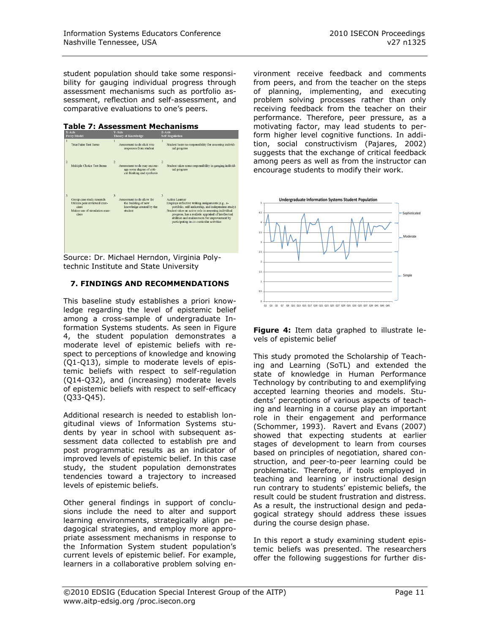student population should take some responsibility for gauging individual progress through assessment mechanisms such as portfolio assessment, reflection and self-assessment, and comparative evaluations to one"s peers.

#### **Table 7: Assessment Mechanisms**

| .<br><b>Perry Model</b>                                                                                           | <b>Theory of Knowledge</b>                                                                                          | <b>Self Regulation</b>                                                                                                                                                                                                                                                                                                                                         |
|-------------------------------------------------------------------------------------------------------------------|---------------------------------------------------------------------------------------------------------------------|----------------------------------------------------------------------------------------------------------------------------------------------------------------------------------------------------------------------------------------------------------------------------------------------------------------------------------------------------------------|
| $\mathbf{I}$<br>True/False Test Items                                                                             | Assessment tools elicit rote<br>responses from student                                                              | $\mathbf{1}$<br>Student bears no responsibility for assessing individ-<br>ual progress                                                                                                                                                                                                                                                                         |
| $\overline{c}$<br>Multiple Choice Test Items                                                                      | $\overline{c}$<br>Assessment tools may encour-<br>age some degree of criti-<br>cal thinking and synthesis           | $\overline{2}$<br>Student takes some responsibility in gauging individ-<br>ual progress                                                                                                                                                                                                                                                                        |
| 3<br>Group case study research<br>Utilizes peer reviewed exer-<br>cises<br>Makes use of simulation exer-<br>cises | $\overline{\mathbf{3}}$<br>Assessment tools allow for<br>the building of new<br>knowledge created by the<br>student | $\overline{\mathbf{3}}$<br>Active Learner<br>Employs reflective writing assignments (e.g., e-<br>portfolio, self authorship, and independent study)<br>Student takes an active role in assessing individual<br>progress, has a realistic appraisal of intellectual<br>abilities and makes room for improvement by<br>participating in co-curricular activities |

Source: Dr. Michael Herndon, Virginia Polytechnic Institute and State University

#### **7. FINDINGS AND RECOMMENDATIONS**

This baseline study establishes a priori knowledge regarding the level of epistemic belief among a cross-sample of undergraduate Information Systems students. As seen in Figure 4, the student population demonstrates a moderate level of epistemic beliefs with respect to perceptions of knowledge and knowing (Q1-Q13), simple to moderate levels of epistemic beliefs with respect to self-regulation (Q14-Q32), and (increasing) moderate levels of epistemic beliefs with respect to self-efficacy (Q33-Q45).

Additional research is needed to establish longitudinal views of Information Systems students by year in school with subsequent assessment data collected to establish pre and post programmatic results as an indicator of improved levels of epistemic belief. In this case study, the student population demonstrates tendencies toward a trajectory to increased levels of epistemic beliefs.

Other general findings in support of conclusions include the need to alter and support learning environments, strategically align pedagogical strategies, and employ more appropriate assessment mechanisms in response to the Information System student population"s current levels of epistemic belief. For example, learners in a collaborative problem solving environment receive feedback and comments from peers, and from the teacher on the steps of planning, implementing, and executing problem solving processes rather than only receiving feedback from the teacher on their performance. Therefore, peer pressure, as a motivating factor, may lead students to perform higher level cognitive functions. In addition, social constructivism (Pajares, 2002) suggests that the exchange of critical feedback among peers as well as from the instructor can encourage students to modify their work.



**Figure 4:** Item data graphed to illustrate levels of epistemic belief

This study promoted the Scholarship of Teaching and Learning (SoTL) and extended the state of knowledge in Human Performance Technology by contributing to and exemplifying accepted learning theories and models. Students" perceptions of various aspects of teaching and learning in a course play an important role in their engagement and performance (Schommer, 1993). Ravert and Evans (2007) showed that expecting students at earlier stages of development to learn from courses based on principles of negotiation, shared construction, and peer-to-peer learning could be problematic. Therefore, if tools employed in teaching and learning or instructional design run contrary to students' epistemic beliefs, the result could be student frustration and distress. As a result, the instructional design and pedagogical strategy should address these issues during the course design phase.

In this report a study examining student epistemic beliefs was presented. The researchers offer the following suggestions for further dis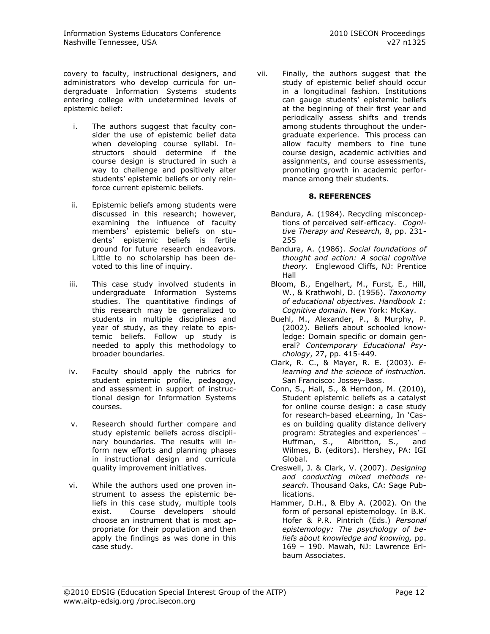covery to faculty, instructional designers, and administrators who develop curricula for undergraduate Information Systems students entering college with undetermined levels of epistemic belief:

- i. The authors suggest that faculty consider the use of epistemic belief data when developing course syllabi. Instructors should determine if the course design is structured in such a way to challenge and positively alter students" epistemic beliefs or only reinforce current epistemic beliefs.
- ii. Epistemic beliefs among students were discussed in this research; however, examining the influence of faculty members" epistemic beliefs on students" epistemic beliefs is fertile ground for future research endeavors. Little to no scholarship has been devoted to this line of inquiry.
- iii. This case study involved students in undergraduate Information Systems studies. The quantitative findings of this research may be generalized to students in multiple disciplines and year of study, as they relate to epistemic beliefs. Follow up study is needed to apply this methodology to broader boundaries.
- iv. Faculty should apply the rubrics for student epistemic profile, pedagogy, and assessment in support of instructional design for Information Systems courses.
- v. Research should further compare and study epistemic beliefs across disciplinary boundaries. The results will inform new efforts and planning phases in instructional design and curricula quality improvement initiatives.
- vi. While the authors used one proven instrument to assess the epistemic beliefs in this case study, multiple tools exist. Course developers should choose an instrument that is most appropriate for their population and then apply the findings as was done in this case study.

vii. Finally, the authors suggest that the study of epistemic belief should occur in a longitudinal fashion. Institutions can gauge students' epistemic beliefs at the beginning of their first year and periodically assess shifts and trends among students throughout the undergraduate experience. This process can allow faculty members to fine tune course design, academic activities and assignments, and course assessments, promoting growth in academic performance among their students.

# **8. REFERENCES**

- Bandura, A. (1984). Recycling misconceptions of perceived self-efficacy. *Cognitive Therapy and Research,* 8, pp. 231- 255
- Bandura, A. (1986). *Social foundations of thought and action: A social cognitive theory.* Englewood Cliffs, NJ: Prentice Hall
- Bloom, B., Engelhart, M., Furst, E., Hill, W., & Krathwohl, D. (1956). *Taxonomy of educational objectives. Handbook 1: Cognitive domain*. New York: McKay.
- Buehl, M., Alexander, P., & Murphy, P. (2002). Beliefs about schooled knowledge: Domain specific or domain general? *Contemporary Educational Psychology*, 27, pp. 415-449.
- Clark, R. C., & Mayer, R. E. (2003). *Elearning and the science of instruction.*  San Francisco: Jossey-Bass.
- Conn, S., Hall, S., & Herndon, M. (2010), Student epistemic beliefs as a catalyst for online course design: a case study for research-based eLearning, In "Cases on building quality distance delivery program: Strategies and experiences' -Huffman, S., Albritton, S., and Wilmes, B. (editors). Hershey, PA: IGI Global.
- Creswell, J. & Clark, V. (2007). *Designing and conducting mixed methods research*. Thousand Oaks, CA: Sage Publications.
- Hammer, D.H., & Elby A. (2002). On the form of personal epistemology. In B.K. Hofer & P.R. Pintrich (Eds.) *Personal epistemology: The psychology of beliefs about knowledge and knowing,* pp. 169 – 190. Mawah, NJ: Lawrence Erlbaum Associates.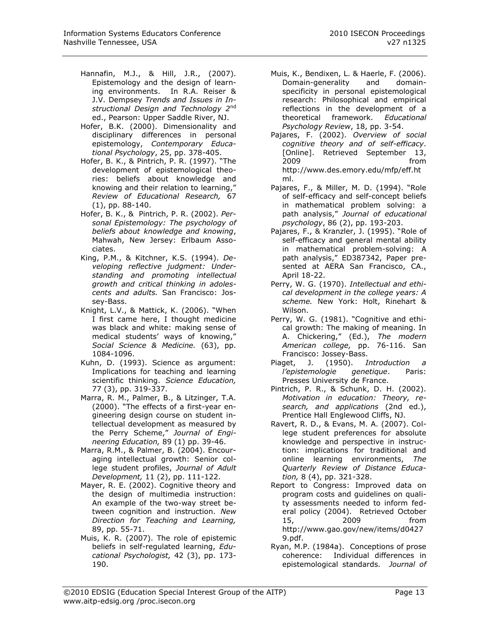- Hannafin, M.J., & Hill, J.R., (2007). Epistemology and the design of learning environments. In R.A. Reiser & J.V. Dempsey *Trends and Issues in Instructional Design and Technology 2*nd ed., Pearson: Upper Saddle River, NJ.
- Hofer, B.K. (2000). Dimensionality and disciplinary differences in personal epistemology, *Contemporary Educational Psychology*, 25, pp. 378-405.
- Hofer, B. K., & Pintrich, P. R. (1997). "The development of epistemological theories: beliefs about knowledge and knowing and their relation to learning," *Review of Educational Research,* 67 (1), pp. 88-140.
- Hofer, B. K., & Pintrich, P. R. (2002). *Personal Epistemology: The psychology of beliefs about knowledge and knowing*, Mahwah, New Jersey: Erlbaum Associates.
- King, P.M., & Kitchner, K.S. (1994). *Developing reflective judgment: Understanding and promoting intellectual growth and critical thinking in adolescents and adults.* San Francisco: Jossey-Bass.
- Knight, L.V., & Mattick, K. (2006). "When I first came here, I thought medicine was black and white: making sense of medical students' ways of knowing," *Social Science & Medicine.* (63), pp. 1084-1096.
- Kuhn, D. (1993). Science as argument: Implications for teaching and learning scientific thinking. *Science Education,*  77 (3), pp. 319-337.
- Marra, R. M., Palmer, B., & Litzinger, T.A. (2000). "The effects of a first-year engineering design course on student intellectual development as measured by the Perry Scheme," *Journal of Engineering Education,* 89 (1) pp. 39-46.
- Marra, R.M., & Palmer, B. (2004). Encouraging intellectual growth: Senior college student profiles, *Journal of Adult Development,* 11 (2), pp. 111-122.
- Mayer, R. E. (2002). Cognitive theory and the design of multimedia instruction: An example of the two-way street between cognition and instruction. *New Direction for Teaching and Learning,*  89, pp. 55-71.
- Muis, K. R. (2007). The role of epistemic beliefs in self-regulated learning, *Educational Psychologist,* 42 (3), pp. 173- 190.
- Muis, K., Bendixen, L. & Haerle, F. (2006). Domain-generality and domainspecificity in personal epistemological research: Philosophical and empirical reflections in the development of a theoretical framework. *Educational Psychology Review*, 18, pp. 3-54.
- Pajares, F. (2002). *Overview of social cognitive theory and of self-efficacy*. [Online]. Retrieved September 13, 2009 from http://www.des.emory.edu/mfp/eff.ht ml.
- Pajares, F., & Miller, M. D. (1994). "Role of self-efficacy and self-concept beliefs in mathematical problem solving: a path analysis," *Journal of educational psychology*, 86 (2), pp. 193-203.
- Pajares, F., & Kranzler, J. (1995). "Role of self-efficacy and general mental ability in mathematical problem-solving: A path analysis," ED387342, Paper presented at AERA San Francisco, CA., April 18-22.
- Perry, W. G. (1970). *Intellectual and ethical development in the college years: A scheme.* New York: Holt, Rinehart & Wilson.
- Perry, W. G. (1981). "Cognitive and ethical growth: The making of meaning. In A. Chickering," (Ed.), *The modern American college,* pp. 76-116. San Francisco: Jossey-Bass.
- Piaget, J. (1950). *Introduction a l'epistemologie genetique*. Paris: Presses University de France.
- Pintrich, P. R., & Schunk, D. H. (2002). *Motivation in education: Theory, research, and applications* (2nd ed.), Prentice Hall Englewood Cliffs, NJ.
- Ravert, R. D., & Evans, M. A. (2007). College student preferences for absolute knowledge and perspective in instruction: implications for traditional and online learning environments, *The Quarterly Review of Distance Education,* 8 (4), pp. 321-328.
- Report to Congress: Improved data on program costs and guidelines on quality assessments needed to inform federal policy (2004). Retrieved October 15, 2009 from http://www.gao.gov/new/items/d0427 9.pdf.
- Ryan, M.P. (1984a). Conceptions of prose coherence: Individual differences in epistemological standards. *Journal of*